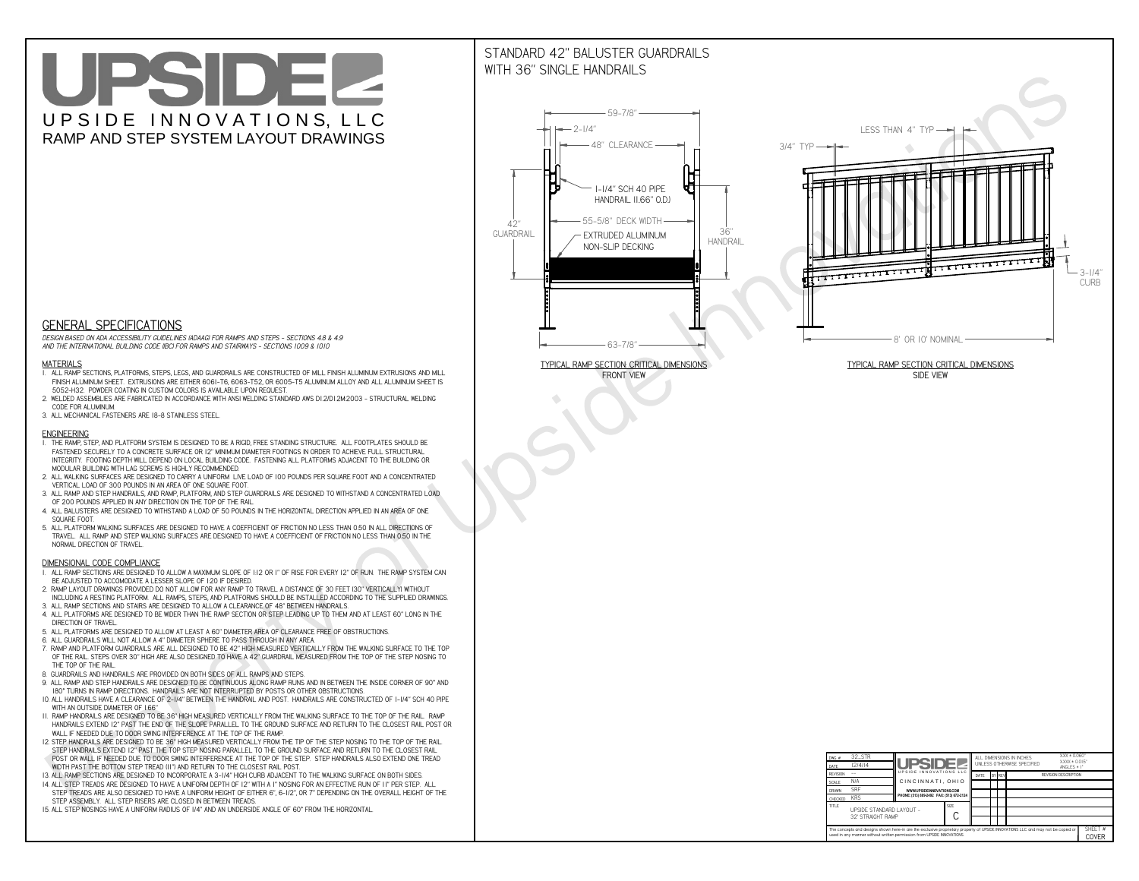# UPSIDEL UPSIDE INNOVATIONS, LLC RAMP AND STEP SYSTEM LAYOUT DRAWINGS

## STANDARD 42" BALUSTER GUARDRAILSWITH 36" SINGLE HANDRAILS

**FRONT VIEW**





**GENERAL SPECIFICATIONS**

 *DESIGN BASED ON ADA ACCESSIBILITY GUIDELINES (ADAAG) FOR RAMPS AND STEPS - SECTIONS 4.8 & 4.9AND THE INTERNATIONAL BUILDING CODE (IBC) FOR RAMPS AND STAIRWAYS - SECTIONS 1009 & 1010*

#### **MATERIALS**

- **1. ALL RAMP SECTIONS, PLATFORMS, STEPS, LEGS, AND GUARDRAILS ARE CONSTRUCTED OF MILL FINISH ALUMINUM EXTRUSIONS AND MILL FINISH ALUMINUM SHEET. EXTRUSIONS ARE EITHER 6061-T6, 6063-T52, OR 6005-T5 ALUMINUM ALLOY AND ALL ALUMINUM SHEET IS 5052-H32. POWDER COATING IN CUSTOM COLORS IS AVAILABLE UPON REQUEST.**
- **2. WELDED ASSEMBLIES ARE FABRICATED IN ACCORDANCE WITH ANSI WELDING STANDARD AWS D1.2/D1.2M:2003 STRUCTURAL WELDING CODE FOR ALUMINUM.**
- **3. ALL MECHANICAL FASTENERS ARE 18-8 STAINLESS STEEL.**

#### **ENGINEERING**

- **1. THE RAMP, STEP, AND PLATFORM SYSTEM IS DESIGNED TO BE A RIGID, FREE STANDING STRUCTURE. ALL FOOTPLATES SHOULD BE FASTENED SECURELY TO A CONCRETE SURFACE OR 12" MINIMUM DIAMETER FOOTINGS IN ORDER TO ACHIEVE FULL STRUCTURAL INTEGRITY. FOOTING DEPTH WILL DEPEND ON LOCAL BUILDING CODE. FASTENING ALL PLATFORMS ADJACENT TO THE BUILDING OR MODULAR BUILDING WITH LAG SCREWS IS HIGHLY RECOMMENDED.**
- **2. ALL WALKING SURFACES ARE DESIGNED TO CARRY A UNIFORM LIVE LOAD OF 100 POUNDS PER SQUARE FOOT AND A CONCENTRATED VERTICAL LOAD OF 300 POUNDS IN AN AREA OF ONE SQUARE FOOT.**
- **3. ALL RAMP AND STEP HANDRAILS, AND RAMP, PLATFORM, AND STEP GUARDRAILS ARE DESIGNED TO WITHSTAND A CONCENTRATED LOAD OF 200 POUNDS APPLIED IN ANY DIRECTION ON THE TOP OF THE RAIL.**
- **4. ALL BALUSTERS ARE DESIGNED TO WITHSTAND A LOAD OF 50 POUNDS IN THE HORIZONTAL DIRECTION APPLIED IN AN AREA OF ONE SQUARE FOOT.**
- **5. ALL PLATFORM WALKING SURFACES ARE DESIGNED TO HAVE A COEFFICIENT OF FRICTION NO LESS THAN 0.50 IN ALL DIRECTIONS OF TRAVEL. ALL RAMP AND STEP WALKING SURFACES ARE DESIGNED TO HAVE A COEFFICIENT OF FRICTION NO LESS THAN 0.50 IN THE NORMAL DIRECTION OF TRAVEL.**

| $DWG.$ #<br>DATE                                                                                                                                                                                            | 32_STR<br>12/4/14                             | UPSIDEL                                   |  | ALL DIMENSIONS IN INCHES<br>UNI FSS OTHERWISE SPECIFIED |                                              |  |  | $XXX = 0.060"$<br>$XXX \pm 0.015$ "<br>ANGLES $\pm$ 1° |  |
|-------------------------------------------------------------------------------------------------------------------------------------------------------------------------------------------------------------|-----------------------------------------------|-------------------------------------------|--|---------------------------------------------------------|----------------------------------------------|--|--|--------------------------------------------------------|--|
| <b>REVISION</b>                                                                                                                                                                                             |                                               | UPSIDE INNOVATIONS LLC                    |  | DATE                                                    | <b>BY REV</b><br><b>REVISION DESCRIPTION</b> |  |  |                                                        |  |
| <b>SCALE</b>                                                                                                                                                                                                | N/A                                           | CINCINNATI, OHIO                          |  |                                                         |                                              |  |  |                                                        |  |
| <b>DRAWN</b>                                                                                                                                                                                                | <b>SRF</b>                                    | WWW.UPSIDEINNOVATIONS.COM                 |  |                                                         |                                              |  |  |                                                        |  |
| CHECKED                                                                                                                                                                                                     | <b>KRS</b>                                    | PHONE: (513) 889-2492 FAX: (513) 672-2124 |  |                                                         |                                              |  |  |                                                        |  |
| <b>TITLE</b>                                                                                                                                                                                                | UPSIDE STANDARD LAYOUT -<br>32' STRAIGHT RAMP |                                           |  |                                                         |                                              |  |  |                                                        |  |
| The concepts and designs shown here-in are the exclusive proprietary property of UPSIDE INNOVATIONS LLC. and may not be copied or<br>used in any manner without written permission from UPSIDE INNOVATIONS. |                                               |                                           |  |                                                         |                                              |  |  |                                                        |  |

### **DIMENSIONAL CODE COMPLIANCE**

- **1. ALL RAMP SECTIONS ARE DESIGNED TO ALLOW A MAXIMUM SLOPE OF 1:12 OR 1" OF RISE FOR EVERY 12" OF RUN. THE RAMP SYSTEM CAN BE ADJUSTED TO ACCOMODATE A LESSER SLOPE OF 1:20 IF DESIRED.**
- **2. RAMP LAYOUT DRAWINGS PROVIDED DO NOT ALLOW FOR ANY RAMP TO TRAVEL A DISTANCE OF 30 FEET (30" VERTICALLY) WITHOUT INCLUDING A RESTING PLATFORM. ALL RAMPS, STEPS, AND PLATFORMS SHOULD BE INSTALLED ACCORDING TO THE SUPPLIED DRAWINGS.**
- **3. ALL RAMP SECTIONS AND STAIRS ARE DESIGNED TO ALLOW A CLEARANCE OF 48" BETWEEN HANDRAILS.**
- **4. ALL PLATFORMS ARE DESIGNED TO BE WIDER THAN THE RAMP SECTION OR STEP LEADING UP TO THEM AND AT LEAST 60" LONG IN THE DIRECTION OF TRAVEL.**
- **5. ALL PLATFORMS ARE DESIGNED TO ALLOW AT LEAST A 60" DIAMETER AREA OF CLEARANCE FREE OF OBSTRUCTIONS.**
- **6. ALL GUARDRAILS WILL NOT ALLOW A 4" DIAMETER SPHERE TO PASS THROUGH IN ANY AREA.**
- **7. RAMP AND PLATFORM GUARDRAILS ARE ALL DESIGNED TO BE 42" HIGH MEASURED VERTICALLY FROM THE WALKING SURFACE TO THE TOP OF THE RAIL. STEPS OVER 30" HIGH ARE ALSO DESIGNED TO HAVE A 42" GUARDRAIL MEASURED FROM THE TOP OF THE STEP NOSING TO THE TOP OF THE RAIL.**
- **8. GUARDRAILS AND HANDRAILS ARE PROVIDED ON BOTH SIDES OF ALL RAMPS AND STEPS.**
- **9. ALL RAMP AND STEP HANDRAILS ARE DESIGNED TO BE CONTINUOUS ALONG RAMP RUNS AND IN BETWEEN THE INSIDE CORNER OF 90° AND 180° TURNS IN RAMP DIRECTIONS. HANDRAILS ARE NOT INTERRUPTED BY POSTS OR OTHER OBSTRUCTIONS.**
- **10. ALL HANDRAILS HAVE A CLEARANCE OF 2-1/4" BETWEEN THE HANDRAIL AND POST. HANDRAILS ARE CONSTRUCTED OF 1-1/4" SCH 40 PIPE WITH AN OUTSIDE DIAMETER OF 1.66"**
- **11. RAMP HANDRAILS ARE DESIGNED TO BE 36" HIGH MEASURED VERTICALLY FROM THE WALKING SURFACE TO THE TOP OF THE RAIL. RAMP HANDRAILS EXTEND 12" PAST THE END OF THE SLOPE PARALLEL TO THE GROUND SURFACE AND RETURN TO THE CLOSEST RAIL POST OR WALL IF NEEDED DUE TO DOOR SWING INTERFERENCE AT THE TOP OF THE RAMP.**
- **12. STEP HANDRAILS ARE DESIGNED TO BE 36" HIGH MEASURED VERTICALLY FROM THE TIP OF THE STEP NOSING TO THE TOP OF THE RAIL. STEP HANDRAILS EXTEND 12" PAST THE TOP STEP NOSING PARALLEL TO THE GROUND SURFACE AND RETURN TO THE CLOSEST RAIL POST OR WALL IF NEEDED DUE TO DOOR SWING INTERFERENCE AT THE TOP OF THE STEP. STEP HANDRAILS ALSO EXTEND ONE TREAD**
- **WIDTH PAST THE BOTTOM STEP TREAD (11") AND RETURN TO THE CLOSEST RAIL POST.**
- **13. ALL RAMP SECTIONS ARE DESIGNED TO INCORPORATE A 3-1/4" HIGH CURB ADJACENT TO THE WALKING SURFACE ON BOTH SIDES.**
- **14. ALL STEP TREADS ARE DESIGNED TO HAVE A UNIFORM DEPTH OF 12" WITH A 1" NOSING FOR AN EFFECTIVE RUN OF 11" PER STEP. ALL STEP TREADS ARE ALSO DESIGNED TO HAVE A UNIFORM HEIGHT OF EITHER 6", 6-1/2", OR 7" DEPENDING ON THE OVERALL HEIGHT OF THE STEP ASSEMBLY. ALL STEP RISERS ARE CLOSED IN BETWEEN TREADS.**
- **15. ALL STEP NOSINGS HAVE A UNIFORM RADIUS OF 1/4" AND AN UNDERSIDE ANGLE OF 60° FROM THE HORIZONTAL.**